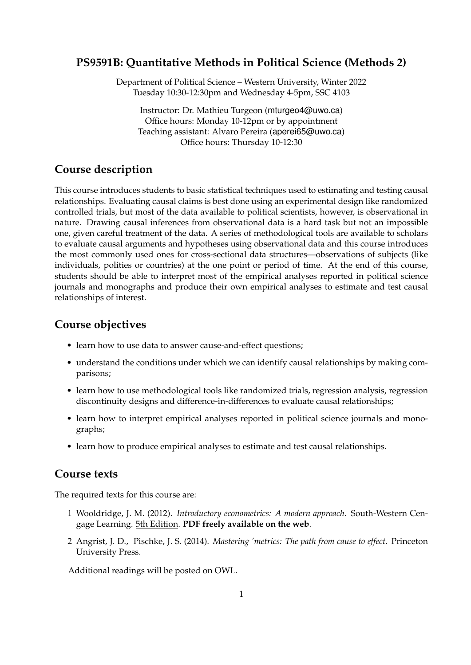### **PS9591B: Quantitative Methods in Political Science (Methods 2)**

Department of Political Science – Western University, Winter 2022 Tuesday 10:30-12:30pm and Wednesday 4-5pm, SSC 4103

Instructor: Dr. Mathieu Turgeon (mturgeo4@uwo.ca) Office hours: Monday 10-12pm or by appointment Teaching assistant: Alvaro Pereira (aperei65@uwo.ca) Office hours: Thursday 10-12:30

# **Course description**

This course introduces students to basic statistical techniques used to estimating and testing causal relationships. Evaluating causal claims is best done using an experimental design like randomized controlled trials, but most of the data available to political scientists, however, is observational in nature. Drawing causal inferences from observational data is a hard task but not an impossible one, given careful treatment of the data. A series of methodological tools are available to scholars to evaluate causal arguments and hypotheses using observational data and this course introduces the most commonly used ones for cross-sectional data structures—observations of subjects (like individuals, polities or countries) at the one point or period of time. At the end of this course, students should be able to interpret most of the empirical analyses reported in political science journals and monographs and produce their own empirical analyses to estimate and test causal relationships of interest.

## **Course objectives**

- learn how to use data to answer cause-and-effect questions;
- understand the conditions under which we can identify causal relationships by making comparisons;
- learn how to use methodological tools like randomized trials, regression analysis, regression discontinuity designs and difference-in-differences to evaluate causal relationships;
- learn how to interpret empirical analyses reported in political science journals and monographs;
- learn how to produce empirical analyses to estimate and test causal relationships.

### **Course texts**

The required texts for this course are:

- 1 Wooldridge, J. M. (2012). *Introductory econometrics: A modern approach*. South-Western Cengage Learning. 5th Edition. **PDF freely available on the web**.
- 2 Angrist, J. D., Pischke, J. S. (2014). *Mastering 'metrics: The path from cause to effect*. Princeton University Press.

Additional readings will be posted on OWL.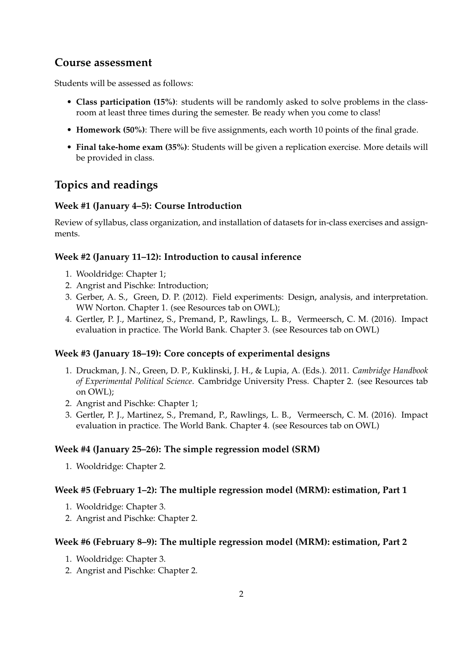# **Course assessment**

Students will be assessed as follows:

- **Class participation (15%)**: students will be randomly asked to solve problems in the classroom at least three times during the semester. Be ready when you come to class!
- **Homework (50%)**: There will be five assignments, each worth 10 points of the final grade.
- **Final take-home exam (35%)**: Students will be given a replication exercise. More details will be provided in class.

# **Topics and readings**

### **Week #1 (January 4–5): Course Introduction**

Review of syllabus, class organization, and installation of datasets for in-class exercises and assignments.

### **Week #2 (January 11–12): Introduction to causal inference**

- 1. Wooldridge: Chapter 1;
- 2. Angrist and Pischke: Introduction;
- 3. Gerber, A. S., Green, D. P. (2012). Field experiments: Design, analysis, and interpretation. WW Norton. Chapter 1. (see Resources tab on OWL);
- 4. Gertler, P. J., Martinez, S., Premand, P., Rawlings, L. B., Vermeersch, C. M. (2016). Impact evaluation in practice. The World Bank. Chapter 3. (see Resources tab on OWL)

### **Week #3 (January 18–19): Core concepts of experimental designs**

- 1. Druckman, J. N., Green, D. P., Kuklinski, J. H., & Lupia, A. (Eds.). 2011. *Cambridge Handbook of Experimental Political Science*. Cambridge University Press. Chapter 2. (see Resources tab on OWL);
- 2. Angrist and Pischke: Chapter 1;
- 3. Gertler, P. J., Martinez, S., Premand, P., Rawlings, L. B., Vermeersch, C. M. (2016). Impact evaluation in practice. The World Bank. Chapter 4. (see Resources tab on OWL)

### **Week #4 (January 25–26): The simple regression model (SRM)**

1. Wooldridge: Chapter 2.

### **Week #5 (February 1–2): The multiple regression model (MRM): estimation, Part 1**

- 1. Wooldridge: Chapter 3.
- 2. Angrist and Pischke: Chapter 2.

### **Week #6 (February 8–9): The multiple regression model (MRM): estimation, Part 2**

- 1. Wooldridge: Chapter 3.
- 2. Angrist and Pischke: Chapter 2.